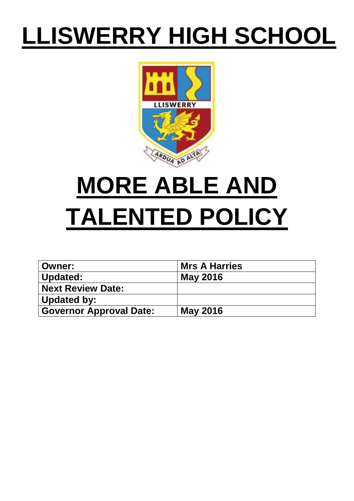## **LLISWERRY HIGH SCHOOL**



# **MORE ABLE AND TALENTED POLICY**

| ∣ Owner:                       | <b>Mrs A Harries</b> |
|--------------------------------|----------------------|
| <b>Updated:</b>                | <b>May 2016</b>      |
| <b>Next Review Date:</b>       |                      |
| Updated by:                    |                      |
| <b>Governor Approval Date:</b> | <b>May 2016</b>      |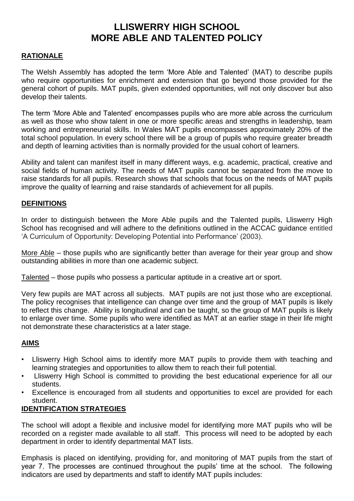### **LLISWERRY HIGH SCHOOL MORE ABLE AND TALENTED POLICY**

#### **RATIONALE**

The Welsh Assembly has adopted the term 'More Able and Talented' (MAT) to describe pupils who require opportunities for enrichment and extension that go beyond those provided for the general cohort of pupils. MAT pupils, given extended opportunities, will not only discover but also develop their talents.

The term 'More Able and Talented' encompasses pupils who are more able across the curriculum as well as those who show talent in one or more specific areas and strengths in leadership, team working and entrepreneurial skills. In Wales MAT pupils encompasses approximately 20% of the total school population. In every school there will be a group of pupils who require greater breadth and depth of learning activities than is normally provided for the usual cohort of learners.

Ability and talent can manifest itself in many different ways, e.g. academic, practical, creative and social fields of human activity. The needs of MAT pupils cannot be separated from the move to raise standards for all pupils. Research shows that schools that focus on the needs of MAT pupils improve the quality of learning and raise standards of achievement for all pupils.

#### **DEFINITIONS**

In order to distinguish between the More Able pupils and the Talented pupils, Lliswerry High School has recognised and will adhere to the definitions outlined in the ACCAC guidance entitled 'A Curriculum of Opportunity: Developing Potential into Performance' (2003).

More Able – those pupils who are significantly better than average for their year group and show outstanding abilities in more than one academic subject.

Talented – those pupils who possess a particular aptitude in a creative art or sport.

Very few pupils are MAT across all subjects. MAT pupils are not just those who are exceptional. The policy recognises that intelligence can change over time and the group of MAT pupils is likely to reflect this change. Ability is longitudinal and can be taught, so the group of MAT pupils is likely to enlarge over time. Some pupils who were identified as MAT at an earlier stage in their life might not demonstrate these characteristics at a later stage.

#### **AIMS**

- Lliswerry High School aims to identify more MAT pupils to provide them with teaching and learning strategies and opportunities to allow them to reach their full potential.
- Lliswerry High School is committed to providing the best educational experience for all our students.
- Excellence is encouraged from all students and opportunities to excel are provided for each student.

#### **IDENTIFICATION STRATEGIES**

The school will adopt a flexible and inclusive model for identifying more MAT pupils who will be recorded on a register made available to all staff. This process will need to be adopted by each department in order to identify departmental MAT lists.

Emphasis is placed on identifying, providing for, and monitoring of MAT pupils from the start of year 7. The processes are continued throughout the pupils' time at the school. The following indicators are used by departments and staff to identify MAT pupils includes: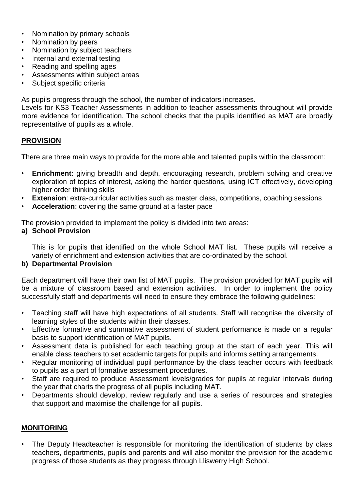- Nomination by primary schools
- Nomination by peers
- Nomination by subject teachers
- Internal and external testing
- Reading and spelling ages
- Assessments within subject areas
- Subject specific criteria

As pupils progress through the school, the number of indicators increases.

Levels for KS3 Teacher Assessments in addition to teacher assessments throughout will provide more evidence for identification. The school checks that the pupils identified as MAT are broadly representative of pupils as a whole.

#### **PROVISION**

There are three main ways to provide for the more able and talented pupils within the classroom:

- **Enrichment**: giving breadth and depth, encouraging research, problem solving and creative exploration of topics of interest, asking the harder questions, using ICT effectively, developing higher order thinking skills
- **Extension**: extra-curricular activities such as master class, competitions, coaching sessions
- **Acceleration**: covering the same ground at a faster pace

The provision provided to implement the policy is divided into two areas:

#### **a) School Provision**

This is for pupils that identified on the whole School MAT list. These pupils will receive a variety of enrichment and extension activities that are co-ordinated by the school.

#### **b) Departmental Provision**

Each department will have their own list of MAT pupils. The provision provided for MAT pupils will be a mixture of classroom based and extension activities. In order to implement the policy successfully staff and departments will need to ensure they embrace the following quidelines:

- Teaching staff will have high expectations of all students. Staff will recognise the diversity of learning styles of the students within their classes.
- Effective formative and summative assessment of student performance is made on a regular basis to support identification of MAT pupils.
- Assessment data is published for each teaching group at the start of each year. This will enable class teachers to set academic targets for pupils and informs setting arrangements.
- Regular monitoring of individual pupil performance by the class teacher occurs with feedback to pupils as a part of formative assessment procedures.
- Staff are required to produce Assessment levels/grades for pupils at regular intervals during the year that charts the progress of all pupils including MAT.
- Departments should develop, review regularly and use a series of resources and strategies that support and maximise the challenge for all pupils.

#### **MONITORING**

The Deputy Headteacher is responsible for monitoring the identification of students by class teachers, departments, pupils and parents and will also monitor the provision for the academic progress of those students as they progress through Lliswerry High School.